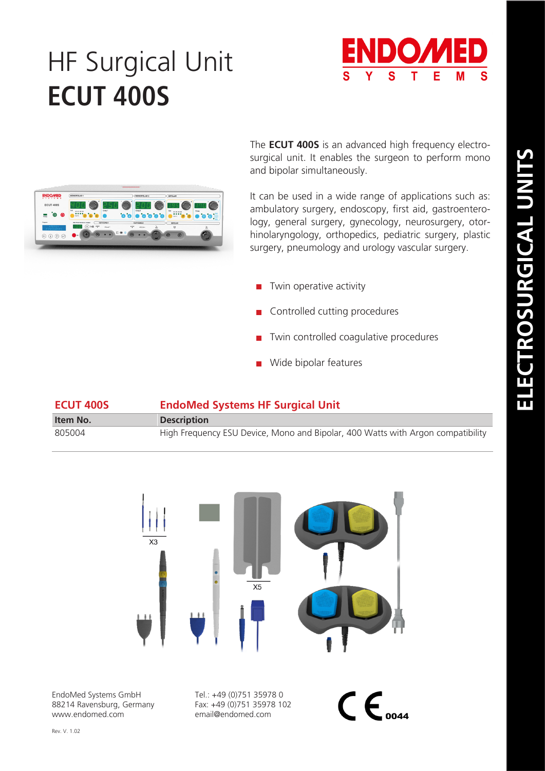## HF Surgical Unit **ECUT 400S**





The **ECUT 400S** is an advanced high frequency electrosurgical unit. It enables the surgeon to perform mono and bipolar simultaneously.

It can be used in a wide range of applications such as: ambulatory surgery, endoscopy, first aid, gastroenterology, general surgery, gynecology, neurosurgery, otorhinolaryngology, orthopedics, pediatric surgery, plastic surgery, pneumology and urology vascular surgery.

- $\blacksquare$  Twin operative activity
- Controlled cutting procedures
- **T** Twin controlled coagulative procedures
- **Wide bipolar features**

| <b>ECUT 400S</b> | <b>EndoMed Systems HF Surgical Unit</b>                                         |  |
|------------------|---------------------------------------------------------------------------------|--|
| Item No.         | <b>Description</b>                                                              |  |
| 805004           | High Frequency ESU Device, Mono and Bipolar, 400 Watts with Argon compatibility |  |



EndoMed Systems GmbH 88214 Ravensburg, Germany www.endomed.com

Tel.: +49 (0)751 35978 0 Fax: +49 (0)751 35978 102 email@endomed.com

 $\mathsf{CE}_{\scriptscriptstyle o$ 044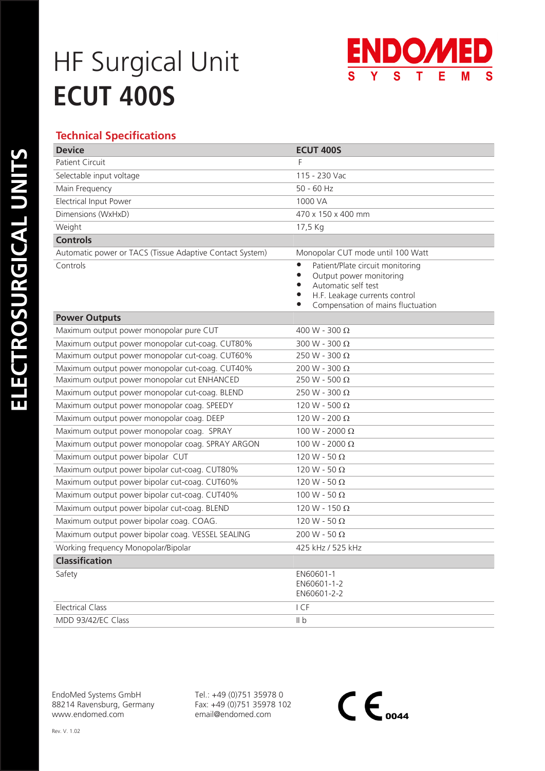# HF Surgical Unit **ECUT 400S**



### **Technical Specifications**

| <b>Device</b>                                            | <b>ECUT 400S</b>                                                                                                                                                                                                          |
|----------------------------------------------------------|---------------------------------------------------------------------------------------------------------------------------------------------------------------------------------------------------------------------------|
| <b>Patient Circuit</b>                                   | F                                                                                                                                                                                                                         |
| Selectable input voltage                                 | 115 - 230 Vac                                                                                                                                                                                                             |
| Main Frequency                                           | $50 - 60$ Hz                                                                                                                                                                                                              |
| Electrical Input Power                                   | 1000 VA                                                                                                                                                                                                                   |
| Dimensions (WxHxD)                                       | 470 x 150 x 400 mm                                                                                                                                                                                                        |
| Weight                                                   | 17,5 Kg                                                                                                                                                                                                                   |
| <b>Controls</b>                                          |                                                                                                                                                                                                                           |
| Automatic power or TACS (Tissue Adaptive Contact System) | Monopolar CUT mode until 100 Watt                                                                                                                                                                                         |
| Controls                                                 | Patient/Plate circuit monitoring<br>$\bullet$<br>Output power monitoring<br>$\bullet$<br>Automatic self test<br>$\bullet$<br>$\bullet$<br>H.F. Leakage currents control<br>Compensation of mains fluctuation<br>$\bullet$ |
| <b>Power Outputs</b>                                     |                                                                                                                                                                                                                           |
| Maximum output power monopolar pure CUT                  | 400 W - 300 Ω                                                                                                                                                                                                             |
| Maximum output power monopolar cut-coag. CUT80%          | 300 W - 300 $\Omega$                                                                                                                                                                                                      |
| Maximum output power monopolar cut-coag. CUT60%          | 250 W - 300 $\Omega$                                                                                                                                                                                                      |
| Maximum output power monopolar cut-coag. CUT40%          | 200 W - 300 Ω                                                                                                                                                                                                             |
| Maximum output power monopolar cut ENHANCED              | 250 W - 500 $\Omega$                                                                                                                                                                                                      |
| Maximum output power monopolar cut-coag. BLEND           | 250 W - 300 $\Omega$                                                                                                                                                                                                      |
| Maximum output power monopolar coag. SPEEDY              | 120 W - 500 $\Omega$                                                                                                                                                                                                      |
| Maximum output power monopolar coag. DEEP                | 120 W - 200 $\Omega$                                                                                                                                                                                                      |
| Maximum output power monopolar coag. SPRAY               | 100 W - 2000 Ω                                                                                                                                                                                                            |
| Maximum output power monopolar coag. SPRAY ARGON         | 100 W - 2000 Ω                                                                                                                                                                                                            |
| Maximum output power bipolar CUT                         | 120 W - 50 $\Omega$                                                                                                                                                                                                       |
| Maximum output power bipolar cut-coag. CUT80%            | 120 W - 50 $\Omega$                                                                                                                                                                                                       |
| Maximum output power bipolar cut-coag. CUT60%            | 120 W - 50 $\Omega$                                                                                                                                                                                                       |
| Maximum output power bipolar cut-coag. CUT40%            | 100 W - 50 $\Omega$                                                                                                                                                                                                       |
| Maximum output power bipolar cut-coag. BLEND             | 120 W - 150 $\Omega$                                                                                                                                                                                                      |
| Maximum output power bipolar coag. COAG.                 | 120 W - 50 $\Omega$                                                                                                                                                                                                       |
| Maximum output power bipolar coag. VESSEL SEALING        | 200 W - 50 $\Omega$                                                                                                                                                                                                       |
| Working frequency Monopolar/Bipolar                      | 425 kHz / 525 kHz                                                                                                                                                                                                         |
| Classification                                           |                                                                                                                                                                                                                           |
| Safety                                                   | EN60601-1<br>EN60601-1-2<br>EN60601-2-2                                                                                                                                                                                   |
| <b>Electrical Class</b>                                  | I CF                                                                                                                                                                                                                      |
| MDD 93/42/EC Class                                       | II <sub>b</sub>                                                                                                                                                                                                           |

EndoMed Systems GmbH 88214 Ravensburg, Germany www.endomed.com

Tel.: +49 (0)751 35978 0 Fax: +49 (0)751 35978 102 email@endomed.com

 $C \epsilon_{\scriptscriptstyle oo44}$